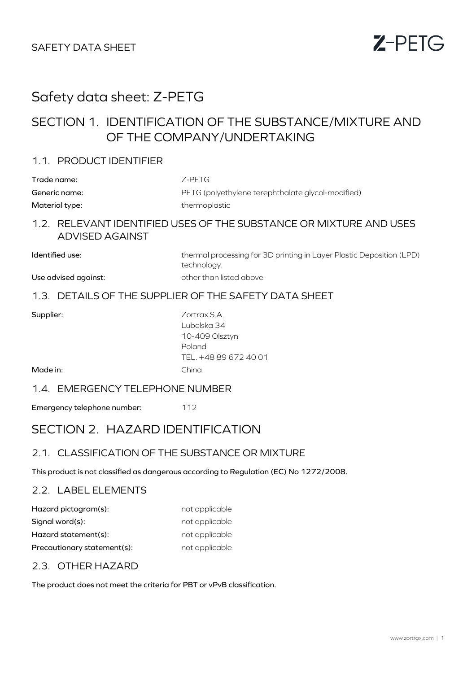

# Safety data sheet: Z-PETG

# SECTION 1. IDENTIFICATION OF THE SUBSTANCE/MIXTURE AND OF THE COMPANY/UNDERTAKING

### 1.1. PRODUCT IDENTIFIER

| Trade name:    | Z-PETG                                            |
|----------------|---------------------------------------------------|
| Generic name:  | PETG (polyethylene terephthalate glycol-modified) |
| Material type: | thermoplastic                                     |

## 1.2. RELEVANT IDENTIFIED USES OF THE SUBSTANCE OR MIXTURE AND USES ADVISED AGAINST

Identified use: thermal processing for 3D printing in Layer Plastic Deposition (LPD) technology.

## Use advised against: other than listed above

### 1.3. DETAILS OF THE SUPPLIER OF THE SAFETY DATA SHEET

| Supplier: |  |
|-----------|--|
|           |  |

Zortrax S.A. Lubelska 34 10-409 Olsztyn Poland TEL. +48 89 672 40 01 China

Made in:

#### 1.4. EMERGENCY TELEPHONE NUMBER

Emergency telephone number: 112

# SECTION 2. HAZARD IDENTIFICATION

### 2.1. CLASSIFICATION OF THE SUBSTANCE OR MIXTURE

This product is not classified as dangerous according to Regulation (EC) No 1272/2008.

### 2.2. LABEL ELEMENTS

| Hazard pictogram(s):        | not applicable |
|-----------------------------|----------------|
| Signal word(s):             | not applicable |
| Hazard statement(s):        | not applicable |
| Precautionary statement(s): | not applicable |

## 2.3. OTHER HAZARD

The product does not meet the criteria for PBT or vPvB classification.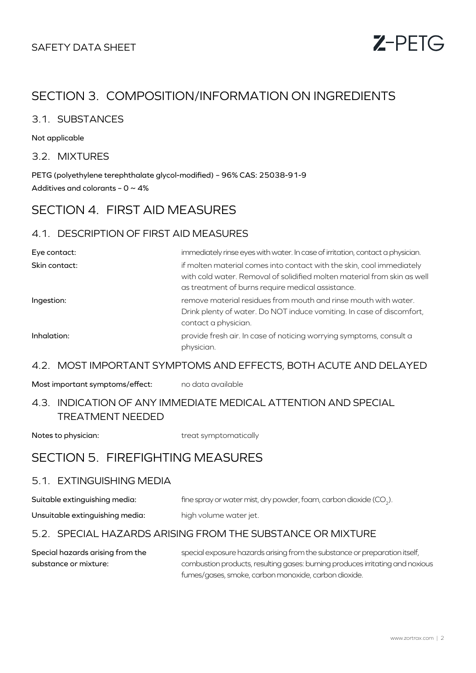

# SECTION 3. COMPOSITION/INFORMATION ON INGREDIENTS

### 3.1. SUBSTANCES

Not applicable

3.2. MIXTURES

PETG (polyethylene terephthalate glycol-modified) – 96% CAS: 25038-91-9 Additives and colorants -  $0 \sim 4\%$ 

# SECTION 4. FIRST AID MEASURES

### 4.1. DESCRIPTION OF FIRST AID MEASURES

| Eye contact:  | immediately rinse eyes with water. In case of irritation, contact a physician.                                                                                                                         |
|---------------|--------------------------------------------------------------------------------------------------------------------------------------------------------------------------------------------------------|
| Skin contact: | if molten material comes into contact with the skin, cool immediately<br>with cold water. Removal of solidified molten material from skin as well<br>as treatment of burns require medical assistance. |
| Ingestion:    | remove material residues from mouth and rinse mouth with water.<br>Drink plenty of water. Do NOT induce vomiting. In case of discomfort,<br>contact a physician.                                       |
| Inhalation:   | provide fresh air. In case of noticing worrying symptoms, consult a<br>physician.                                                                                                                      |

#### 4.2. MOST IMPORTANT SYMPTOMS AND EFFECTS, BOTH ACUTE AND DELAYED

Most important symptoms/effect: no data available

## 4.3. INDICATION OF ANY IMMEDIATE MEDICAL ATTENTION AND SPECIAL TREATMENT NEEDED

Notes to physician: treat symptomatically

## SECTION 5. FIREFIGHTING MEASURES

### 5.1. EXTINGUISHING MEDIA

| Suitable extinguishing media:   | fine spray or water mist, dry powder, foam, carbon dioxide (CO <sub>2</sub> ). |
|---------------------------------|--------------------------------------------------------------------------------|
| Unsuitable extinguishing media: | high volume water jet.                                                         |

### 5.2. SPECIAL HAZARDS ARISING FROM THE SUBSTANCE OR MIXTURE

Special hazards arising from the substance or mixture: special exposure hazards arising from the substance or preparation itself, combustion products, resulting gases: burning produces irritating and noxious fumes/gases, smoke, carbon monoxide, carbon dioxide.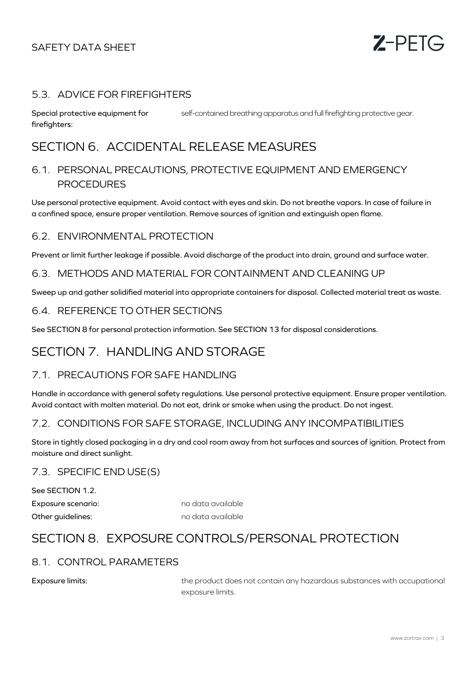

#### 5.3. ADVICE FOR FIREFIGHTERS

Special protective equipment for firefighters: self-contained breathing apparatus and full firefighting protective gear.

# SECTION 6. ACCIDENTAL RELEASE MEASURES

## 6.1. PERSONAL PRECAUTIONS, PROTECTIVE EQUIPMENT AND EMERGENCY PROCEDURES

Use personal protective equipment. Avoid contact with eyes and skin. Do not breathe vapors. In case of failure in a confined space, ensure proper ventilation. Remove sources of ignition and extinguish open flame.

#### 6.2. ENVIRONMENTAL PROTECTION

Prevent or limit further leakage if possible. Avoid discharge of the product into drain, ground and surface water.

#### 6.3. METHODS AND MATERIAL FOR CONTAINMENT AND CLEANING UP

Sweep up and gather solidified material into appropriate containers for disposal. Collected material treat as waste.

### 6.4. REFERENCE TO OTHER SECTIONS

See SECTION 8 for personal protection information. See SECTION 13 for disposal considerations.

# SECTION 7. HANDLING AND STORAGE

#### 7.1. PRECAUTIONS FOR SAFE HANDLING

Handle in accordance with general safety regulations. Use personal protective equipment. Ensure proper ventilation. Avoid contact with molten material. Do not eat, drink or smoke when using the product. Do not ingest.

### 7.2. CONDITIONS FOR SAFE STORAGE, INCLUDING ANY INCOMPATIBILITIES

Store in tightly closed packaging in a dry and cool room away from hot surfaces and sources of ignition. Protect from moisture and direct sunlight.

#### 7.3. SPECIFIC END USE(S)

Exposure scenario: no data available See SECTION 1.2. Other auidelines: no data available

# SECTION 8. EXPOSURE CONTROLS/PERSONAL PROTECTION

### 8.1. CONTROL PARAMETERS

Exposure limits: the product does not contain any hazardous substances with occupational exposure limits.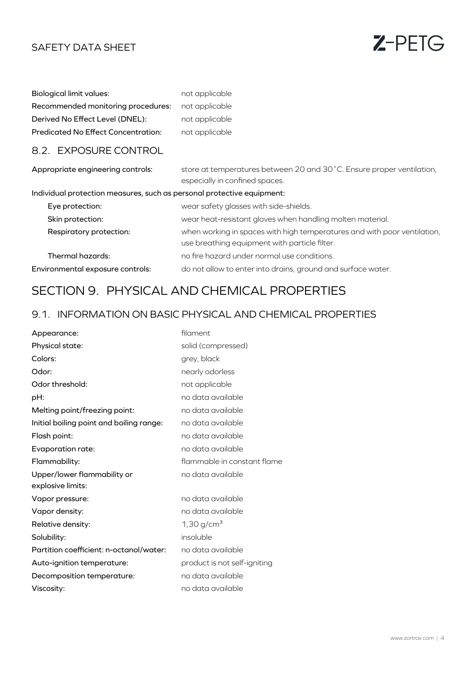

| Biological limit values:                   | not applicable |
|--------------------------------------------|----------------|
| Recommended monitoring procedures:         | not applicable |
| Derived No Effect Level (DNEL):            | not applicable |
| <b>Predicated No Effect Concentration:</b> | not applicable |

### 8.2. EXPOSURE CONTROL

| Appropriate engineering controls:                                      | store at temperatures between 20 and 30°C. Ensure proper ventilation,<br>especially in confined spaces.                   |
|------------------------------------------------------------------------|---------------------------------------------------------------------------------------------------------------------------|
| Individual protection measures, such as personal protective equipment: |                                                                                                                           |
| Eye protection:                                                        | wear safety glasses with side-shields.                                                                                    |
| Skin protection:                                                       | wear heat-resistant gloves when handling molten material.                                                                 |
| Respiratory protection:                                                | when working in spaces with high temperatures and with poor ventilation,<br>use breathing equipment with particle filter. |
| Thermal hazards:                                                       | no fire hazard under normal use conditions.                                                                               |
| Environmental exposure controls:                                       | do not allow to enter into drains, ground and surface water.                                                              |

# SECTION 9. PHYSICAL AND CHEMICAL PROPERTIES

## 9.1. INFORMATION ON BASIC PHYSICAL AND CHEMICAL PROPERTIES

| Appearance:                              | filament                     |
|------------------------------------------|------------------------------|
| Physical state:                          | solid (compressed)           |
| Colors:                                  | grey, black                  |
| Odor:                                    | nearly odorless              |
| Odor threshold:                          | not applicable               |
| pH:                                      | no data available            |
| Melting point/freezing point:            | no data available            |
| Initial boiling point and boiling range: | no data available            |
| Flash point:                             | no data available            |
| Evaporation rate:                        | no data available            |
| Flammability:                            | flammable in constant flame  |
| Upper/lower flammability or              | no data available            |
| explosive limits:                        |                              |
| Vapor pressure:                          | no data available            |
| Vapor density:                           | no data available            |
| Relative density:                        | 1,30 g/cm <sup>3</sup>       |
| Solubility:                              | insoluble                    |
| Partition coefficient: n-octanol/water:  | no data available            |
| Auto-ignition temperature:               | product is not self-igniting |
| Decomposition temperature:               | no data available            |
| Viscosity:                               | no data available            |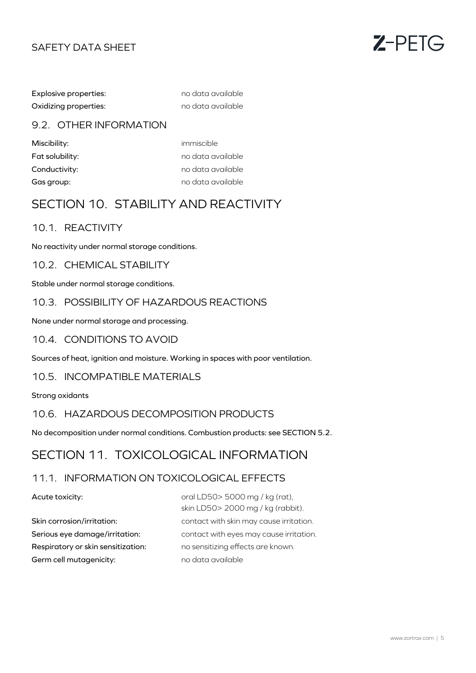

Explosive properties: no data available Oxidizing properties: no data available

### 9.2. OTHER INFORMATION

Miscibility: which immiscible

Fat solubility: no data available Conductivity: and a conductivity: the conductivity: Gas group: and a set of the contract of the contract of the contract of the contract of the contract of the contract of the contract of the contract of the contract of the contract of the contract of the contract of the co

# SECTION 10. STABILITY AND REACTIVITY

### 10.1. REACTIVITY

No reactivity under normal storage conditions.

10.2. CHEMICAL STABILITY

Stable under normal storage conditions.

### 10.3. POSSIBILITY OF HAZARDOUS REACTIONS

None under normal storage and processing.

### 10.4. CONDITIONS TO AVOID

Sources of heat, ignition and moisture. Working in spaces with poor ventilation.

### 10.5. INCOMPATIBLE MATERIALS

Strong oxidants

### 10.6. HAZARDOUS DECOMPOSITION PRODUCTS

No decomposition under normal conditions. Combustion products: see SECTION 5.2.

# SECTION 11. TOXICOLOGICAL INFORMATION

## 11.1. INFORMATION ON TOXICOLOGICAL EFFECTS

#### Acute toxicity:

Germ cell mutagenicity: no data available Respiratory or skin sensitization: no sensitizing effects are known.

Skin corrosion/irritation: contact with skin may cause irritation. oral LD50> 5000 mg / kg (rat), skin LD50> 2000 mg / kg (rabbit). Serious eye damage/irritation: contact with eyes may cause irritation.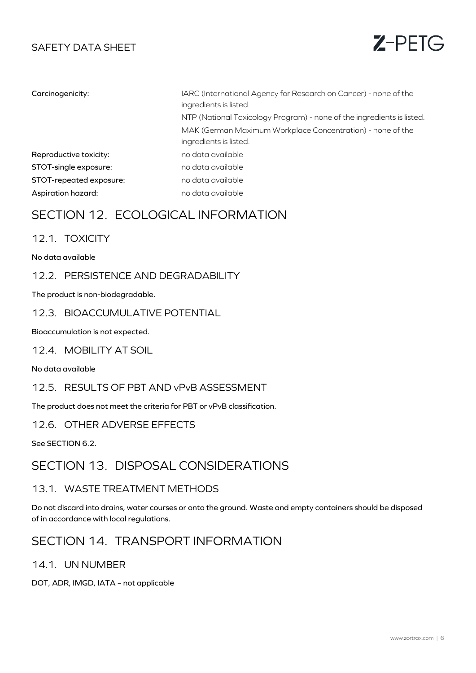

| Carcinogenicity:        | IARC (International Agency for Research on Cancer) - none of the<br>ingredients is listed. |
|-------------------------|--------------------------------------------------------------------------------------------|
|                         | NTP (National Toxicology Program) - none of the ingredients is listed.                     |
|                         | MAK (German Maximum Workplace Concentration) - none of the<br>ingredients is listed.       |
| Reproductive toxicity:  | no data available                                                                          |
| STOT-single exposure:   | no data available                                                                          |
| STOT-repeated exposure: | no data available                                                                          |
| Aspiration hazard:      | no data available                                                                          |

# SECTION 12. ECOLOGICAL INFORMATION

### 12.1. TOXICITY

No data available

### 12.2. PERSISTENCE AND DEGRADABILITY

The product is non-biodegradable.

### 12.3. BIOACCUMULATIVE POTENTIAL

Bioaccumulation is not expected.

12.4. MOBILITY AT SOIL

No data available

### 12.5. RESULTS OF PBT AND vPvB ASSESSMENT

The product does not meet the criteria for PBT or vPvB classification.

### 12.6. OTHER ADVERSE EFFECTS

See SECTION 6.2.

# SECTION 13. DISPOSAL CONSIDERATIONS

### 13.1. WASTE TREATMENT METHODS

Do not discard into drains, water courses or onto the ground. Waste and empty containers should be disposed of in accordance with local regulations.

# SECTION 14. TRANSPORT INFORMATION

### 14.1. UN NUMBER

DOT, ADR, IMGD, IATA – not applicable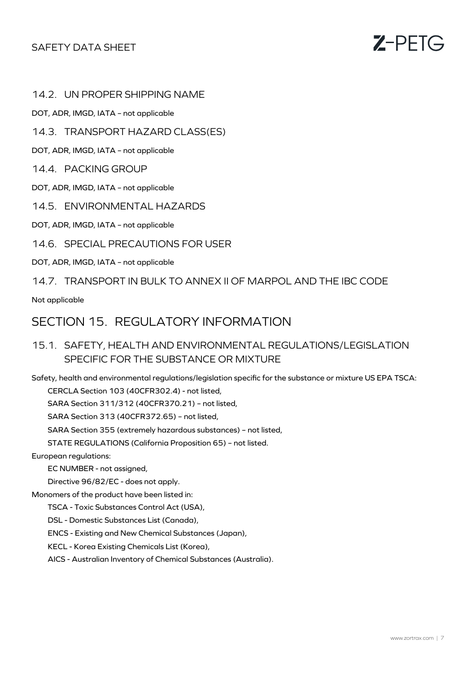

14.2. UN PROPER SHIPPING NAME

DOT, ADR, IMGD, IATA – not applicable

14.3. TRANSPORT HAZARD CLASS(ES)

DOT, ADR, IMGD, IATA – not applicable

14.4. PACKING GROUP

DOT, ADR, IMGD, IATA – not applicable

14.5. ENVIRONMENTAL HAZARDS

DOT, ADR, IMGD, IATA – not applicable

14.6. SPECIAL PRECAUTIONS FOR USER

DOT, ADR, IMGD, IATA – not applicable

14.7. TRANSPORT IN BULK TO ANNEX II OF MARPOL AND THE IBC CODE

Not applicable

## SECTION 15. REGULATORY INFORMATION

15.1. SAFETY, HEALTH AND ENVIRONMENTAL REGULATIONS/LEGISLATION SPECIFIC FOR THE SUBSTANCE OR MIXTURE

Safety, health and environmental regulations/legislation specific for the substance or mixture US EPA TSCA:

CERCLA Section 103 (40CFR302.4) - not listed,

SARA Section 311/312 (40CFR370.21) – not listed,

SARA Section 313 (40CFR372.65) – not listed,

SARA Section 355 (extremely hazardous substances) – not listed,

STATE REGULATIONS (California Proposition 65) – not listed.

European regulations:

EC NUMBER - not assigned,

Directive 96/82/EC - does not apply.

Monomers of the product have been listed in:

TSCA - Toxic Substances Control Act (USA),

DSL - Domestic Substances List (Canada),

ENCS - Existing and New Chemical Substances (Japan),

KECL - Korea Existing Chemicals List (Korea),

AICS - Australian Inventory of Chemical Substances (Australia).